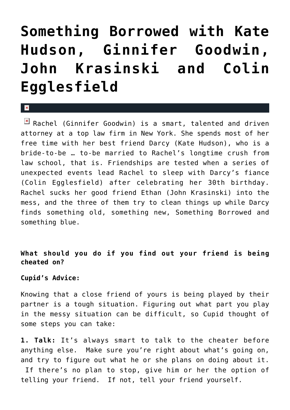## **[Something Borrowed with Kate](https://cupidspulse.com/14316/something-borrowed-with-kate-hudson-ginnifer-goodwin-john-krasinski-and-colin-egglesfield/) [Hudson, Ginnifer Goodwin,](https://cupidspulse.com/14316/something-borrowed-with-kate-hudson-ginnifer-goodwin-john-krasinski-and-colin-egglesfield/) [John Krasinski and Colin](https://cupidspulse.com/14316/something-borrowed-with-kate-hudson-ginnifer-goodwin-john-krasinski-and-colin-egglesfield/) [Egglesfield](https://cupidspulse.com/14316/something-borrowed-with-kate-hudson-ginnifer-goodwin-john-krasinski-and-colin-egglesfield/)**

 $\boxed{\times}$  Rachel (Ginnifer Goodwin) is a smart, talented and driven attorney at a top law firm in New York. She spends most of her free time with her best friend Darcy (Kate Hudson), who is a bride-to-be … to-be married to Rachel's longtime crush from law school, that is. Friendships are tested when a series of unexpected events lead Rachel to sleep with Darcy's fiance (Colin Egglesfield) after celebrating her 30th birthday. Rachel sucks her good friend Ethan (John Krasinski) into the mess, and the three of them try to clean things up while Darcy finds something old, something new, Something Borrowed and something blue.

## **What should you do if you find out your friend is being cheated on?**

## **Cupid's Advice:**

 $\mathbf{R}$ 

Knowing that a close friend of yours is being played by their partner is a tough situation. Figuring out what part you play in the messy situation can be difficult, so Cupid thought of some steps you can take:

**1. Talk:** It's always smart to talk to the cheater before anything else. Make sure you're right about what's going on, and try to figure out what he or she plans on doing about it. If there's no plan to stop, give him or her the option of telling your friend. If not, tell your friend yourself.